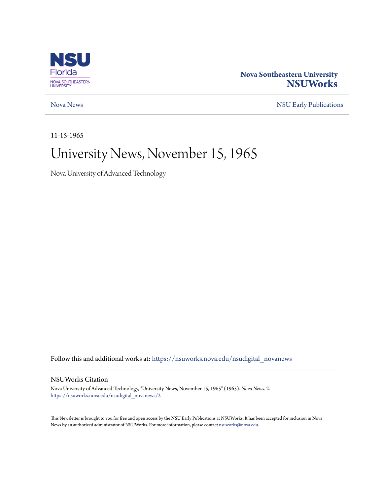

### **Nova Southeastern University [NSUWorks](https://nsuworks.nova.edu?utm_source=nsuworks.nova.edu%2Fnsudigital_novanews%2F2&utm_medium=PDF&utm_campaign=PDFCoverPages)**

[Nova News](https://nsuworks.nova.edu/nsudigital_novanews?utm_source=nsuworks.nova.edu%2Fnsudigital_novanews%2F2&utm_medium=PDF&utm_campaign=PDFCoverPages) [NSU Early Publications](https://nsuworks.nova.edu/nsudigital_earlypubs?utm_source=nsuworks.nova.edu%2Fnsudigital_novanews%2F2&utm_medium=PDF&utm_campaign=PDFCoverPages)

11-15-1965

# University News, November 15, 1965

Nova University of Advanced Technology

Follow this and additional works at: [https://nsuworks.nova.edu/nsudigital\\_novanews](https://nsuworks.nova.edu/nsudigital_novanews?utm_source=nsuworks.nova.edu%2Fnsudigital_novanews%2F2&utm_medium=PDF&utm_campaign=PDFCoverPages)

### NSUWorks Citation

Nova University of Advanced Technology, "University News, November 15, 1965" (1965). *Nova News*. 2. [https://nsuworks.nova.edu/nsudigital\\_novanews/2](https://nsuworks.nova.edu/nsudigital_novanews/2?utm_source=nsuworks.nova.edu%2Fnsudigital_novanews%2F2&utm_medium=PDF&utm_campaign=PDFCoverPages)

This Newsletter is brought to you for free and open access by the NSU Early Publications at NSUWorks. It has been accepted for inclusion in Nova News by an authorized administrator of NSUWorks. For more information, please contact [nsuworks@nova.edu.](mailto:nsuworks@nova.edu)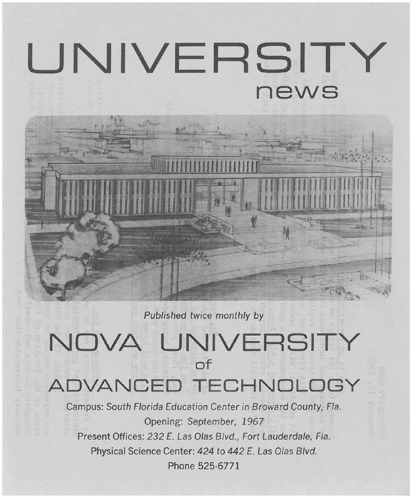# **UNIVERSITY news**

Published twice monthly by

## **NOVA UNIVERSITY of ADVANCED TECHNOLOGY**

Campus: South Florida Education Center in Broward County, Fla. Opening: September, 1967 Present Offices: 232 E. Las Olas Blvd., Fort Lauderdale, Fla. Physical Science Center: 424 to 442 E. Las Olas Blvd. Phone 525·6771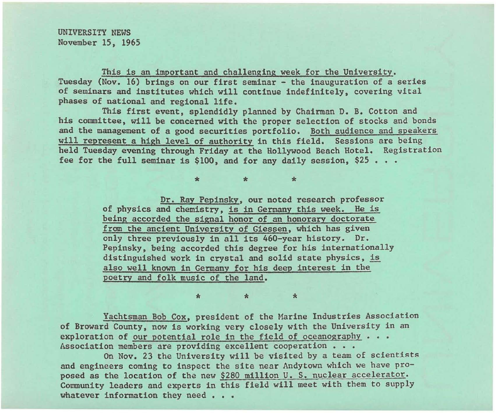UNIVERSITY NEWS November IS, 1965

This is an important and challenging week for the University. Tuesday (Nov. 16) brings on our first seminar - the inauguration of a series of seminars and institutes which will continue indefinitely, covering vital phases of national and regional life.

This first event, splendidly planned by Chairman D. B. Cotton and his committee, will be concerned with the proper selection of stocks and bonds and the management of a good securities portfolio. Both audience and speakers will represent a high level of authority in this field. Sessions are being held Tuesday evening through Friday at the Hollywood Beach Hotel. Registration fee for the full seminar is  $$100$ , and for any daily session,  $$25...$ .

> Dr. Ray Pepinsky, our noted research professor of physics and chemistry, is in Germany this week. He is being accorded the signal honor of an honorary doctorate from the ancient University of Giessen, which has given only three previously in all its 460-year history. Dr. Pepinsky, being accorded this degree for his internationally distinguished work in crystal and solid state physics, is also well known in Germany for his deep interest in the poetry and folk music of the land.

 $\ddot{x}$   $\ddot{x}$ 

Yachtsman Bob Cox, president of the Marine Industries Association of Broward County, now is working very closely with the University in an exploration of our potential role in the field of oceanography • • • Association members are providing excellent cooperation . . .

 $\star$   $\star$   $\star$ 

On Nov. 23 the University will be visited by a team of scientists and engineers coming to inspect the site near Andytown which we have proposed as the location of the new \$280 million U. S. nuclear accelerator. Community leaders and experts in this field will meet with them to supply whatever information they need . . .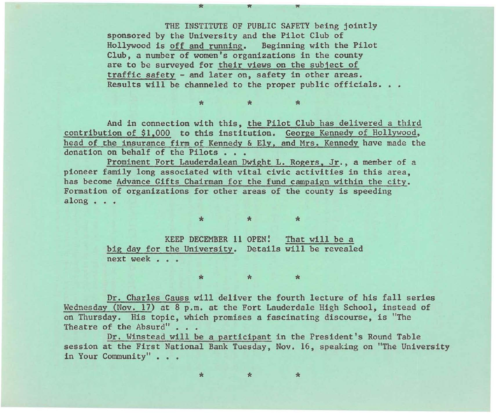THE INSTITUTE OF PUBLIC SAFETY being jointly sponsored by the University and the Pilot Club of Hollywood is off and running. Beginning with the Pilot Club, a number of women's organizations in the county are to be surveyed for their views on the subject of traffic safety - and later on, safety in other areas. Results will be channeled to the proper public officials. . .

.,. .,. .,.

.,. .. <sup>K</sup>

And in connection with this, the Pilot Club has delivered a third contribution of \$1.000 to this institution. George Kennedy of Hollywood, head of the insurance firm of Kennedy & Ely. and Mrs. Kennedy have made the donation on behalf of the Pilots . . .

Prominent Fort Lauderdalean Dwight L. Rogers. Jr. , a member of a pioneer family long associated with vital civic activities in this area, has become Advance Gifts Chairman for the fund campaign within the city. Formation of organizations for other areas of the county is speeding along • • •

 $\ddot{\phantom{a}}$ 

KEEP DECEMBER **11** OPEN: That will be a big day for the University. Details will be revealed next week . . .

Dr. Charles Gauss will deliver the fourth lecture of his fall series Wednesday (Nov. 17) at 8 p.m. at the Fort Lauderdale High School, instead of on Thursday. His topic, which promises a fascinating discourse, is "The Theatre of the Absurd" . . .

 $\ddot{\phantom{a}}$ 

Dr. Winstead will be a participant in the President's Round Table session at the First National Bank Tuesday, Nov. 16, speaking on "The University in Your Community" . . .

\* \* \*